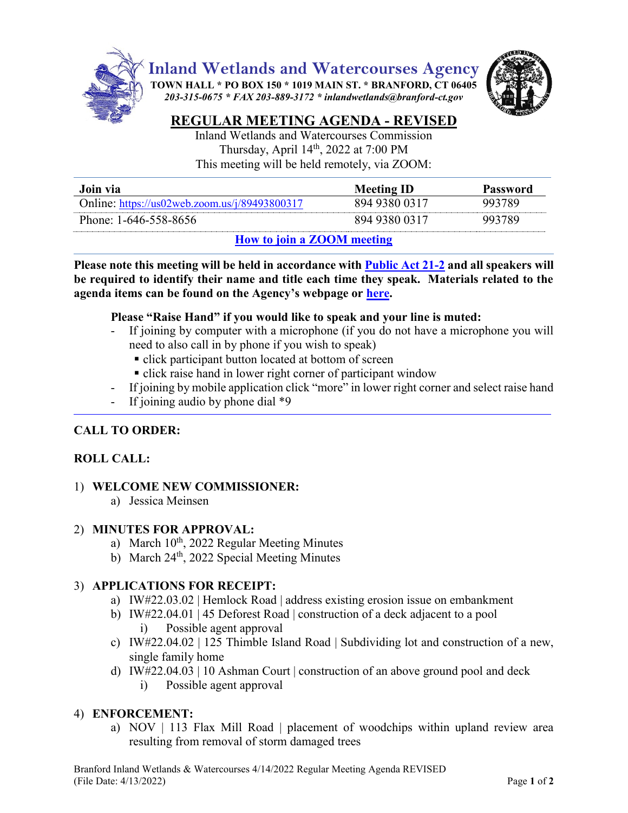

**Inland Wetlands and Watercourses Agency**

**TOWN HALL \* PO BOX 150 \* 1019 MAIN ST. \* BRANFORD, CT 06405** *203-315-0675 \* FAX 203-889-3172 \* inlandwetlands@branford-ct.gov* 



# **REGULAR MEETING AGENDA - REVISED**

Inland Wetlands and Watercourses Commission Thursday, April 14<sup>th</sup>, 2022 at 7:00 PM This meeting will be held remotely, via ZOOM:

| Join via                                         | <b>Meeting ID</b> | <b>Password</b> |
|--------------------------------------------------|-------------------|-----------------|
| Online: https://us02web.zoom.us/j/89493800317    | 894 9380 0317     | 993789          |
| Phone: 1-646-558-8656                            | 894 9380 0317     | 993789          |
| $\mathbf{u}_{\alpha v}$ to join a $700M$ mooting |                   |                 |

# **How [to join a ZOOM meeting](https://www.youtube.com/embed/hIkCmbvAHQQ?rel=0&autoplay=1&cc_load_policy=1)**

**Please note this meeting will be held in accordance wit[h Public Act 21-2](https://www.cga.ct.gov/2021/ACT/PA/PDF/2021PA-00002-R00SB-01202SS1-PA.PDF) and all speakers will be required to identify their name and title each time they speak. Materials related to the agenda items can be found on the Agency's webpage or [here.](https://www.dropbox.com/sh/aaqscumbqriwlm5/AADJjQJHfo-OSq0EKF8GdRqaa?dl=0)**

#### **Please "Raise Hand" if you would like to speak and your line is muted:**

- If joining by computer with a microphone (if you do not have a microphone you will need to also call in by phone if you wish to speak)
	- click participant button located at bottom of screen
	- click raise hand in lower right corner of participant window
- If joining by mobile application click "more" in lower right corner and select raise hand
- If joining audio by phone dial  $*9$

# **CALL TO ORDER:**

## **ROLL CALL:**

## 1) **WELCOME NEW COMMISSIONER:**

a) Jessica Meinsen

#### 2) **MINUTES FOR APPROVAL:**

- a) March 10<sup>th</sup>, 2022 Regular Meeting Minutes
- b) March  $24<sup>th</sup>$ , 2022 Special Meeting Minutes

## 3) **APPLICATIONS FOR RECEIPT:**

- a) IW#22.03.02 | Hemlock Road | address existing erosion issue on embankment
- b) IW#22.04.01 | 45 Deforest Road | construction of a deck adjacent to a pool i) Possible agent approval
- c) IW#22.04.02 | 125 Thimble Island Road | Subdividing lot and construction of a new, single family home
- d) IW#22.04.03 | 10 Ashman Court | construction of an above ground pool and deck
	- i) Possible agent approval

## 4) **ENFORCEMENT:**

a) NOV | 113 Flax Mill Road | placement of woodchips within upland review area resulting from removal of storm damaged trees